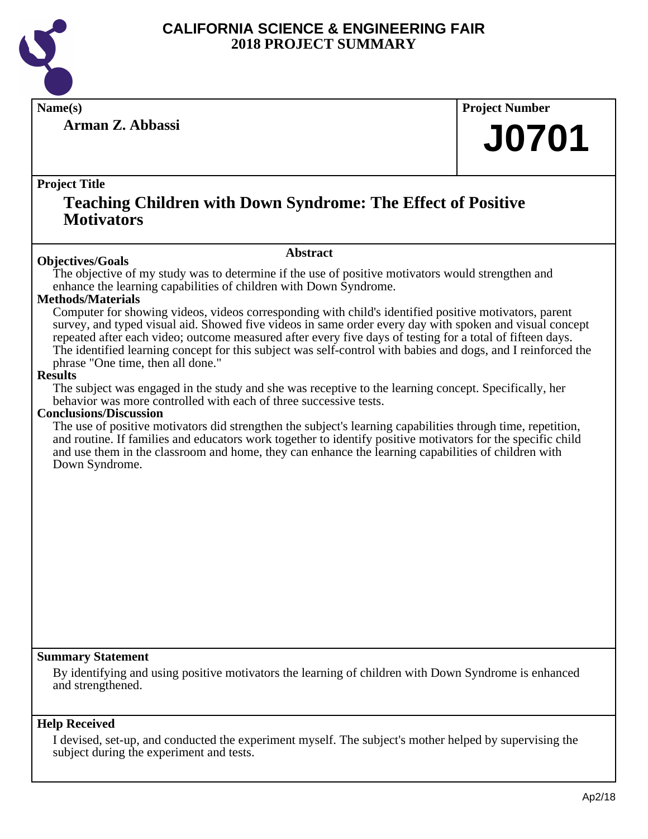

**Arman Z. Abbassi**

**Name(s) Project Number**

## **J0701**

#### **Project Title**

### **Teaching Children with Down Syndrome: The Effect of Positive Motivators**

#### **Abstract**

**Objectives/Goals** The objective of my study was to determine if the use of positive motivators would strengthen and enhance the learning capabilities of children with Down Syndrome.

#### **Methods/Materials**

Computer for showing videos, videos corresponding with child's identified positive motivators, parent survey, and typed visual aid. Showed five videos in same order every day with spoken and visual concept repeated after each video; outcome measured after every five days of testing for a total of fifteen days. The identified learning concept for this subject was self-control with babies and dogs, and I reinforced the phrase "One time, then all done."

#### **Results**

The subject was engaged in the study and she was receptive to the learning concept. Specifically, her behavior was more controlled with each of three successive tests.

#### **Conclusions/Discussion**

The use of positive motivators did strengthen the subject's learning capabilities through time, repetition, and routine. If families and educators work together to identify positive motivators for the specific child and use them in the classroom and home, they can enhance the learning capabilities of children with Down Syndrome.

#### **Summary Statement**

By identifying and using positive motivators the learning of children with Down Syndrome is enhanced and strengthened.

#### **Help Received**

I devised, set-up, and conducted the experiment myself. The subject's mother helped by supervising the subject during the experiment and tests.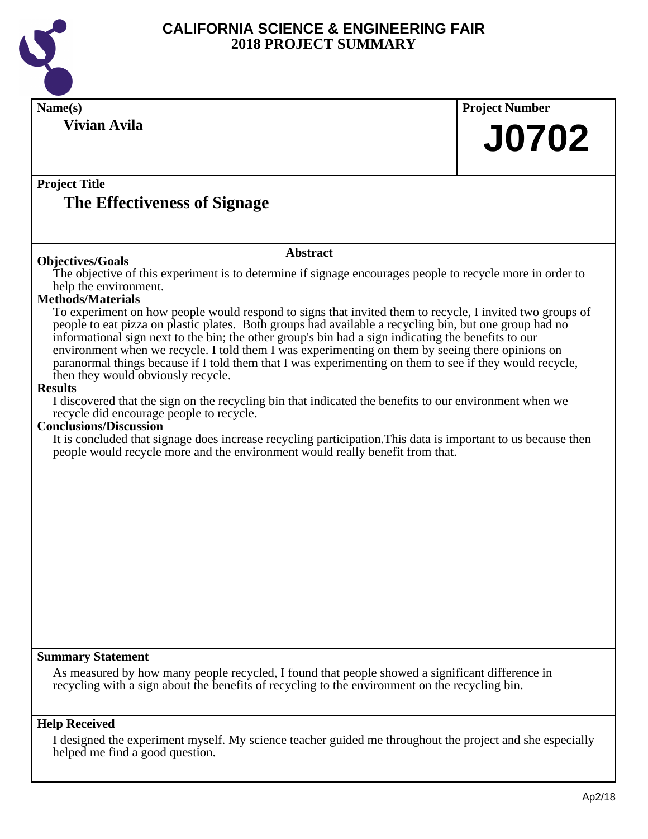

| Name(s)                                                                                                                                                                                                                                                                                                                                                                                                                                                                                                                                                                                                                                                                                                                                                                                                                                                                                                                                                                                                                                                                                                                                              | <b>Project Number</b> |
|------------------------------------------------------------------------------------------------------------------------------------------------------------------------------------------------------------------------------------------------------------------------------------------------------------------------------------------------------------------------------------------------------------------------------------------------------------------------------------------------------------------------------------------------------------------------------------------------------------------------------------------------------------------------------------------------------------------------------------------------------------------------------------------------------------------------------------------------------------------------------------------------------------------------------------------------------------------------------------------------------------------------------------------------------------------------------------------------------------------------------------------------------|-----------------------|
| <b>Vivian Avila</b>                                                                                                                                                                                                                                                                                                                                                                                                                                                                                                                                                                                                                                                                                                                                                                                                                                                                                                                                                                                                                                                                                                                                  | <b>J0702</b>          |
| <b>Project Title</b><br>The Effectiveness of Signage                                                                                                                                                                                                                                                                                                                                                                                                                                                                                                                                                                                                                                                                                                                                                                                                                                                                                                                                                                                                                                                                                                 |                       |
| <b>Abstract</b><br><b>Objectives/Goals</b>                                                                                                                                                                                                                                                                                                                                                                                                                                                                                                                                                                                                                                                                                                                                                                                                                                                                                                                                                                                                                                                                                                           |                       |
| The objective of this experiment is to determine if signage encourages people to recycle more in order to<br>help the environment.<br>Methods/Materials<br>To experiment on how people would respond to signs that invited them to recycle, I invited two groups of<br>people to eat pizza on plastic plates. Both groups had available a recycling bin, but one group had no<br>informational sign next to the bin; the other group's bin had a sign indicating the benefits to our<br>environment when we recycle. I told them I was experimenting on them by seeing there opinions on<br>paranormal things because if I told them that I was experimenting on them to see if they would recycle,<br>then they would obviously recycle.<br><b>Results</b><br>I discovered that the sign on the recycling bin that indicated the benefits to our environment when we<br>recycle did encourage people to recycle.<br><b>Conclusions/Discussion</b><br>It is concluded that signage does increase recycling participation. This data is important to us because then<br>people would recycle more and the environment would really benefit from that. |                       |
| <b>Summary Statement</b><br>As measured by how many people recycled, I found that people showed a significant difference in<br>recycling with a sign about the benefits of recycling to the environment on the recycling bin.                                                                                                                                                                                                                                                                                                                                                                                                                                                                                                                                                                                                                                                                                                                                                                                                                                                                                                                        |                       |
| <b>Help Received</b><br>I designed the experiment myself. My science teacher guided me throughout the project and she especially<br>helped me find a good question.                                                                                                                                                                                                                                                                                                                                                                                                                                                                                                                                                                                                                                                                                                                                                                                                                                                                                                                                                                                  |                       |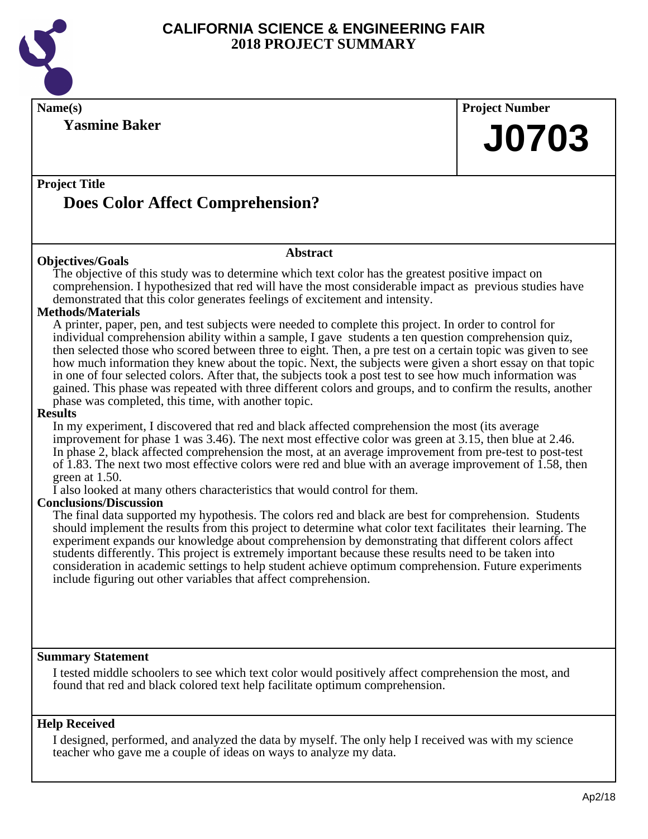

**Name(s) Project Number**

**Project Title Abstract Does Color Affect Comprehension? J0703 Objectives/Goals**

**Yasmine Baker**

The objective of this study was to determine which text color has the greatest positive impact on comprehension. I hypothesized that red will have the most considerable impact as previous studies have demonstrated that this color generates feelings of excitement and intensity.

#### **Methods/Materials**

A printer, paper, pen, and test subjects were needed to complete this project. In order to control for individual comprehension ability within a sample, I gave students a ten question comprehension quiz, then selected those who scored between three to eight. Then, a pre test on a certain topic was given to see how much information they knew about the topic. Next, the subjects were given a short essay on that topic in one of four selected colors. After that, the subjects took a post test to see how much information was gained. This phase was repeated with three different colors and groups, and to confirm the results, another phase was completed, this time, with another topic.

#### **Results**

In my experiment, I discovered that red and black affected comprehension the most (its average improvement for phase 1 was 3.46). The next most effective color was green at 3.15, then blue at 2.46. In phase 2, black affected comprehension the most, at an average improvement from pre-test to post-test of 1.83. The next two most effective colors were red and blue with an average improvement of 1.58, then green at 1.50.

I also looked at many others characteristics that would control for them.

#### **Conclusions/Discussion**

The final data supported my hypothesis. The colors red and black are best for comprehension. Students should implement the results from this project to determine what color text facilitates their learning. The experiment expands our knowledge about comprehension by demonstrating that different colors affect students differently. This project is extremely important because these results need to be taken into consideration in academic settings to help student achieve optimum comprehension. Future experiments include figuring out other variables that affect comprehension.

#### **Summary Statement**

I tested middle schoolers to see which text color would positively affect comprehension the most, and found that red and black colored text help facilitate optimum comprehension.

#### **Help Received**

I designed, performed, and analyzed the data by myself. The only help I received was with my science teacher who gave me a couple of ideas on ways to analyze my data.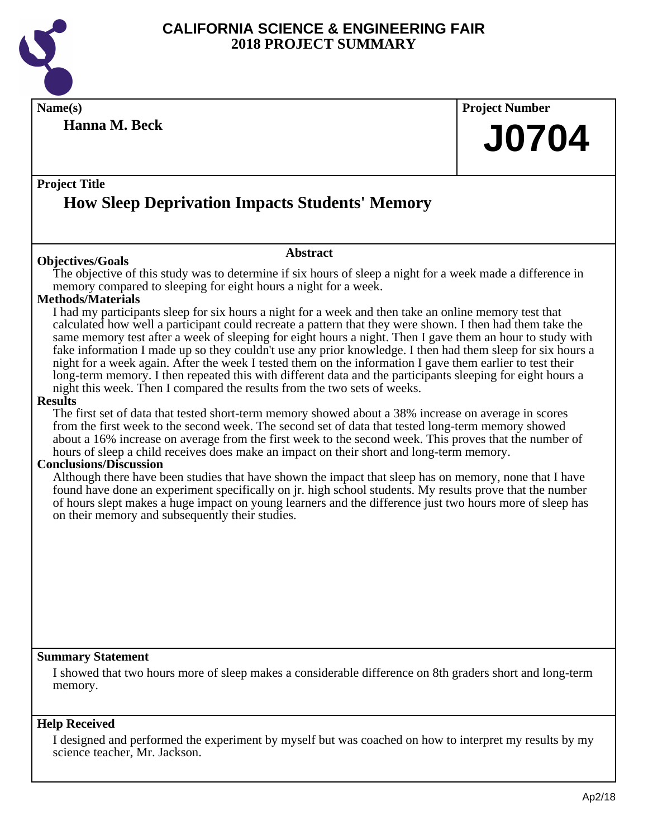

**Name(s) Project Number**

**Hanna M. Beck**

**J0704**

### **Project Title How Sleep Deprivation Impacts Students' Memory**

#### **Objectives/Goals**

The objective of this study was to determine if six hours of sleep a night for a week made a difference in memory compared to sleeping for eight hours a night for a week.

**Abstract**

#### **Methods/Materials**

I had my participants sleep for six hours a night for a week and then take an online memory test that calculated how well a participant could recreate a pattern that they were shown. I then had them take the same memory test after a week of sleeping for eight hours a night. Then I gave them an hour to study with fake information I made up so they couldn't use any prior knowledge. I then had them sleep for six hours a night for a week again. After the week I tested them on the information I gave them earlier to test their long-term memory. I then repeated this with different data and the participants sleeping for eight hours a night this week. Then I compared the results from the two sets of weeks.

#### **Results**

The first set of data that tested short-term memory showed about a 38% increase on average in scores from the first week to the second week. The second set of data that tested long-term memory showed about a 16% increase on average from the first week to the second week. This proves that the number of hours of sleep a child receives does make an impact on their short and long-term memory.

#### **Conclusions/Discussion**

Although there have been studies that have shown the impact that sleep has on memory, none that I have found have done an experiment specifically on jr. high school students. My results prove that the number of hours slept makes a huge impact on young learners and the difference just two hours more of sleep has on their memory and subsequently their studies.

#### **Summary Statement**

I showed that two hours more of sleep makes a considerable difference on 8th graders short and long-term memory.

#### **Help Received**

I designed and performed the experiment by myself but was coached on how to interpret my results by my science teacher, Mr. Jackson.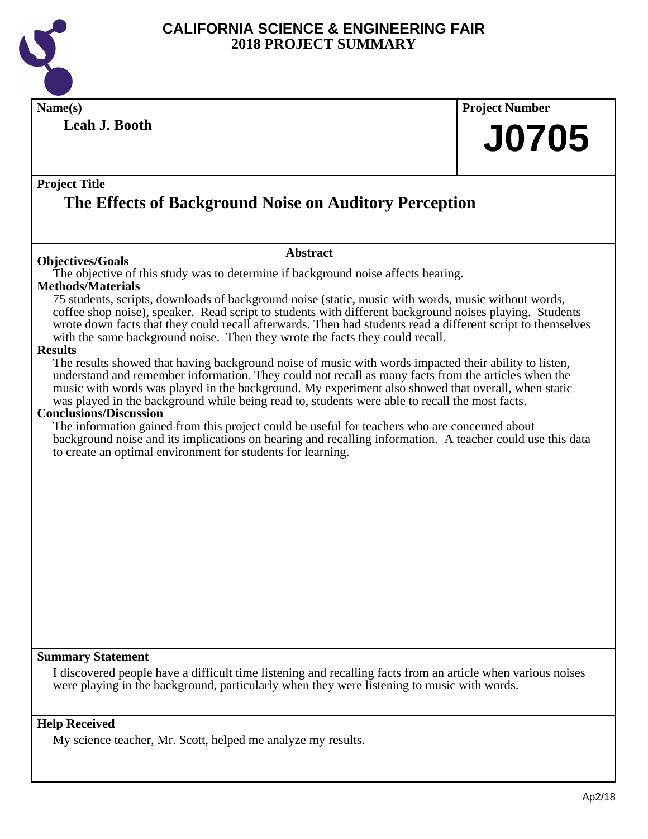

**Name(s) Project Number Project Title Abstract Leah J. Booth The Effects of Background Noise on Auditory Perception J0705 Objectives/Goals** The objective of this study was to determine if background noise affects hearing. **Methods/Materials** 75 students, scripts, downloads of background noise (static, music with words, music without words, coffee shop noise), speaker. Read script to students with different background noises playing. Students wrote down facts that they could recall afterwards. Then had students read a different script to themselves with the same background noise. Then they wrote the facts they could recall. **Results** The results showed that having background noise of music with words impacted their ability to listen, understand and remember information. They could not recall as many facts from the articles when the music with words was played in the background. My experiment also showed that overall, when static was played in the background while being read to, students were able to recall the most facts. **Conclusions/Discussion** The information gained from this project could be useful for teachers who are concerned about background noise and its implications on hearing and recalling information. A teacher could use this data to create an optimal environment for students for learning.

#### **Summary Statement**

I discovered people have a difficult time listening and recalling facts from an article when various noises were playing in the background, particularly when they were listening to music with words.

#### **Help Received**

My science teacher, Mr. Scott, helped me analyze my results.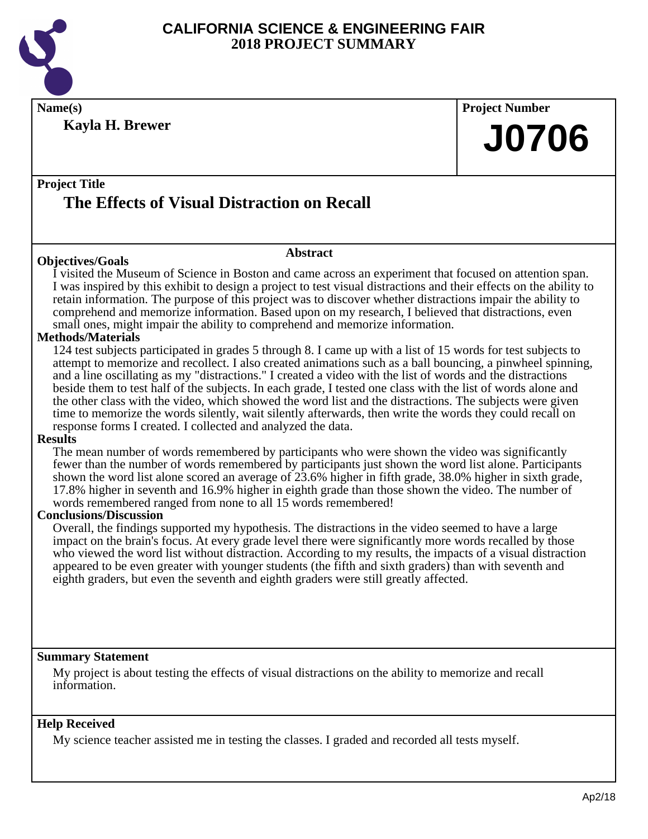

**Name(s) Project Number**

**Kayla H. Brewer**

**J0706**

### **Project Title The Effects of Visual Distraction on Recall**

#### **Objectives/Goals**

#### **Abstract**

I visited the Museum of Science in Boston and came across an experiment that focused on attention span. I was inspired by this exhibit to design a project to test visual distractions and their effects on the ability to retain information. The purpose of this project was to discover whether distractions impair the ability to comprehend and memorize information. Based upon on my research, I believed that distractions, even small ones, might impair the ability to comprehend and memorize information.

#### **Methods/Materials**

124 test subjects participated in grades 5 through 8. I came up with a list of 15 words for test subjects to attempt to memorize and recollect. I also created animations such as a ball bouncing, a pinwheel spinning, and a line oscillating as my "distractions." I created a video with the list of words and the distractions beside them to test half of the subjects. In each grade, I tested one class with the list of words alone and the other class with the video, which showed the word list and the distractions. The subjects were given time to memorize the words silently, wait silently afterwards, then write the words they could recall on response forms I created. I collected and analyzed the data.

#### **Results**

The mean number of words remembered by participants who were shown the video was significantly fewer than the number of words remembered by participants just shown the word list alone. Participants shown the word list alone scored an average of 23.6% higher in fifth grade, 38.0% higher in sixth grade, 17.8% higher in seventh and 16.9% higher in eighth grade than those shown the video. The number of words remembered ranged from none to all 15 words remembered!

#### **Conclusions/Discussion**

Overall, the findings supported my hypothesis. The distractions in the video seemed to have a large impact on the brain's focus. At every grade level there were significantly more words recalled by those who viewed the word list without distraction. According to my results, the impacts of a visual distraction appeared to be even greater with younger students (the fifth and sixth graders) than with seventh and eighth graders, but even the seventh and eighth graders were still greatly affected.

#### **Summary Statement**

My project is about testing the effects of visual distractions on the ability to memorize and recall information.

#### **Help Received**

My science teacher assisted me in testing the classes. I graded and recorded all tests myself.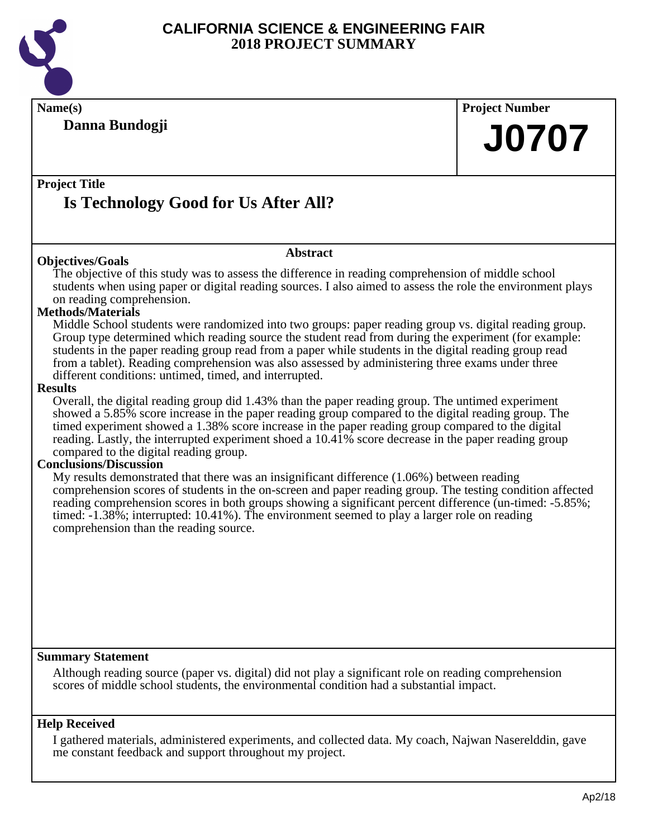

**Name(s) Project Number Project Title Abstract Danna Bundogji Is Technology Good for Us After All?**

#### **Objectives/Goals**

The objective of this study was to assess the difference in reading comprehension of middle school students when using paper or digital reading sources. I also aimed to assess the role the environment plays on reading comprehension.

#### **Methods/Materials**

Middle School students were randomized into two groups: paper reading group vs. digital reading group. Group type determined which reading source the student read from during the experiment (for example: students in the paper reading group read from a paper while students in the digital reading group read from a tablet). Reading comprehension was also assessed by administering three exams under three different conditions: untimed, timed, and interrupted.

#### **Results**

Overall, the digital reading group did 1.43% than the paper reading group. The untimed experiment showed a 5.85% score increase in the paper reading group compared to the digital reading group. The timed experiment showed a 1.38% score increase in the paper reading group compared to the digital reading. Lastly, the interrupted experiment shoed a 10.41% score decrease in the paper reading group compared to the digital reading group.

#### **Conclusions/Discussion**

My results demonstrated that there was an insignificant difference (1.06%) between reading comprehension scores of students in the on-screen and paper reading group. The testing condition affected reading comprehension scores in both groups showing a significant percent difference (un-timed: -5.85%; timed: -1.38%; interrupted: 10.41%). The environment seemed to play a larger role on reading comprehension than the reading source.

#### **Summary Statement**

Although reading source (paper vs. digital) did not play a significant role on reading comprehension scores of middle school students, the environmental condition had a substantial impact.

#### **Help Received**

I gathered materials, administered experiments, and collected data. My coach, Najwan Naserelddin, gave me constant feedback and support throughout my project.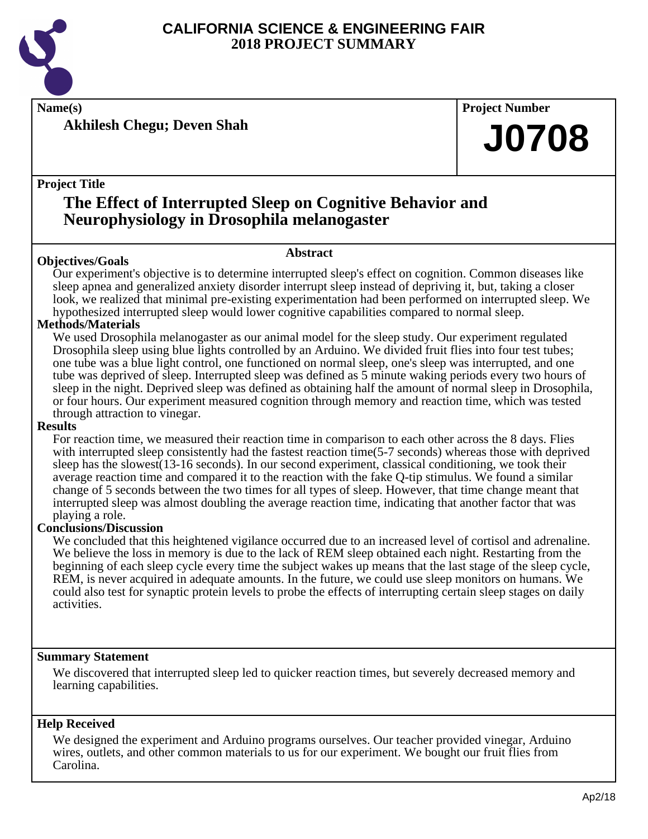

**Name(s) Project Number**

**Akhilesh Chegu; Deven Shah**

#### **Project Title**

## **The Effect of Interrupted Sleep on Cognitive Behavior and Neurophysiology in Drosophila melanogaster**

#### **Abstract**

**Objectives/Goals** Our experiment's objective is to determine interrupted sleep's effect on cognition. Common diseases like sleep apnea and generalized anxiety disorder interrupt sleep instead of depriving it, but, taking a closer look, we realized that minimal pre-existing experimentation had been performed on interrupted sleep. We hypothesized interrupted sleep would lower cognitive capabilities compared to normal sleep.

#### **Methods/Materials**

We used Drosophila melanogaster as our animal model for the sleep study. Our experiment regulated Drosophila sleep using blue lights controlled by an Arduino. We divided fruit flies into four test tubes; one tube was a blue light control, one functioned on normal sleep, one's sleep was interrupted, and one tube was deprived of sleep. Interrupted sleep was defined as 5 minute waking periods every two hours of sleep in the night. Deprived sleep was defined as obtaining half the amount of normal sleep in Drosophila, or four hours. Our experiment measured cognition through memory and reaction time, which was tested through attraction to vinegar.

#### **Results**

For reaction time, we measured their reaction time in comparison to each other across the 8 days. Flies with interrupted sleep consistently had the fastest reaction time(5-7 seconds) whereas those with deprived sleep has the slowest(13-16 seconds). In our second experiment, classical conditioning, we took their average reaction time and compared it to the reaction with the fake Q-tip stimulus. We found a similar change of 5 seconds between the two times for all types of sleep. However, that time change meant that interrupted sleep was almost doubling the average reaction time, indicating that another factor that was playing a role.

#### **Conclusions/Discussion**

We concluded that this heightened vigilance occurred due to an increased level of cortisol and adrenaline. We believe the loss in memory is due to the lack of REM sleep obtained each night. Restarting from the beginning of each sleep cycle every time the subject wakes up means that the last stage of the sleep cycle, REM, is never acquired in adequate amounts. In the future, we could use sleep monitors on humans. We could also test for synaptic protein levels to probe the effects of interrupting certain sleep stages on daily activities.

#### **Summary Statement**

We discovered that interrupted sleep led to quicker reaction times, but severely decreased memory and learning capabilities.

#### **Help Received**

We designed the experiment and Arduino programs ourselves. Our teacher provided vinegar, Arduino wires, outlets, and other common materials to us for our experiment. We bought our fruit flies from Carolina.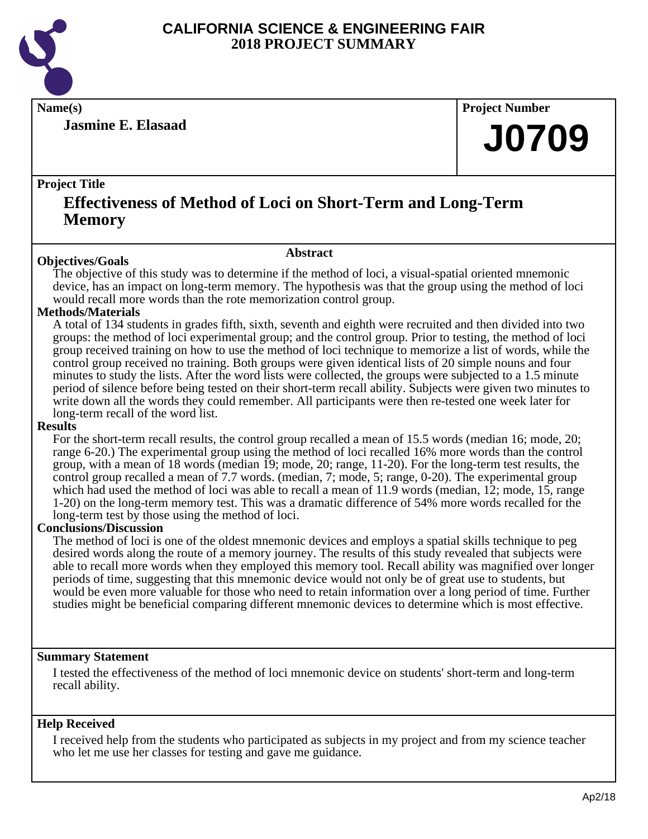

**Jasmine E. Elasaad**

**Name(s) Project Number**

## **J0709**

#### **Project Title**

## **Effectiveness of Method of Loci on Short-Term and Long-Term Memory**

#### **Abstract**

**Objectives/Goals** The objective of this study was to determine if the method of loci, a visual-spatial oriented mnemonic device, has an impact on long-term memory. The hypothesis was that the group using the method of loci would recall more words than the rote memorization control group.

#### **Methods/Materials**

A total of 134 students in grades fifth, sixth, seventh and eighth were recruited and then divided into two groups: the method of loci experimental group; and the control group. Prior to testing, the method of loci group received training on how to use the method of loci technique to memorize a list of words, while the control group received no training. Both groups were given identical lists of 20 simple nouns and four minutes to study the lists. After the word lists were collected, the groups were subjected to a 1.5 minute period of silence before being tested on their short-term recall ability. Subjects were given two minutes to write down all the words they could remember. All participants were then re-tested one week later for long-term recall of the word list.

#### **Results**

For the short-term recall results, the control group recalled a mean of 15.5 words (median 16; mode, 20; range 6-20.) The experimental group using the method of loci recalled 16% more words than the control group, with a mean of 18 words (median 19; mode, 20; range, 11-20). For the long-term test results, the control group recalled a mean of 7.7 words. (median, 7; mode, 5; range, 0-20). The experimental group which had used the method of loci was able to recall a mean of 11.9 words (median, 12; mode, 15, range 1-20) on the long-term memory test. This was a dramatic difference of 54% more words recalled for the long-term test by those using the method of loci.

#### **Conclusions/Discussion**

The method of loci is one of the oldest mnemonic devices and employs a spatial skills technique to peg desired words along the route of a memory journey. The results of this study revealed that subjects were able to recall more words when they employed this memory tool. Recall ability was magnified over longer periods of time, suggesting that this mnemonic device would not only be of great use to students, but would be even more valuable for those who need to retain information over a long period of time. Further studies might be beneficial comparing different mnemonic devices to determine which is most effective.

#### **Summary Statement**

I tested the effectiveness of the method of loci mnemonic device on students' short-term and long-term recall ability.

#### **Help Received**

I received help from the students who participated as subjects in my project and from my science teacher who let me use her classes for testing and gave me guidance.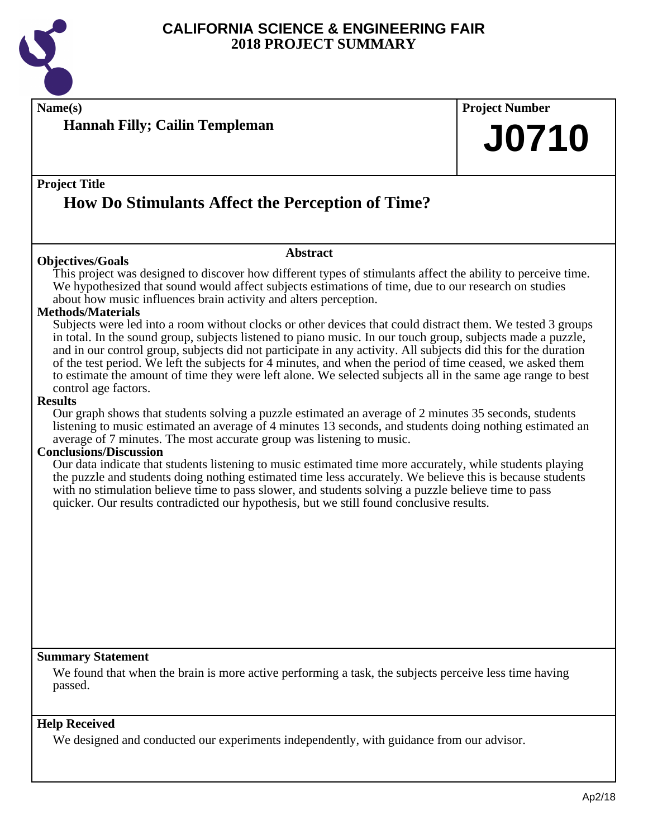

**Name(s) Project Number**

## **Project Title**

**Hannah Filly; Cailin Templeman**

## **How Do Stimulants Affect the Perception of Time?**

#### **Objectives/Goals**

**Abstract**

This project was designed to discover how different types of stimulants affect the ability to perceive time. We hypothesized that sound would affect subjects estimations of time, due to our research on studies about how music influences brain activity and alters perception.

#### **Methods/Materials**

Subjects were led into a room without clocks or other devices that could distract them. We tested 3 groups in total. In the sound group, subjects listened to piano music. In our touch group, subjects made a puzzle, and in our control group, subjects did not participate in any activity. All subjects did this for the duration of the test period. We left the subjects for 4 minutes, and when the period of time ceased, we asked them to estimate the amount of time they were left alone. We selected subjects all in the same age range to best control age factors.

#### **Results**

Our graph shows that students solving a puzzle estimated an average of 2 minutes 35 seconds, students listening to music estimated an average of 4 minutes 13 seconds, and students doing nothing estimated an average of 7 minutes. The most accurate group was listening to music.

#### **Conclusions/Discussion**

Our data indicate that students listening to music estimated time more accurately, while students playing the puzzle and students doing nothing estimated time less accurately. We believe this is because students with no stimulation believe time to pass slower, and students solving a puzzle believe time to pass quicker. Our results contradicted our hypothesis, but we still found conclusive results.

#### **Summary Statement**

We found that when the brain is more active performing a task, the subjects perceive less time having passed.

#### **Help Received**

We designed and conducted our experiments independently, with guidance from our advisor.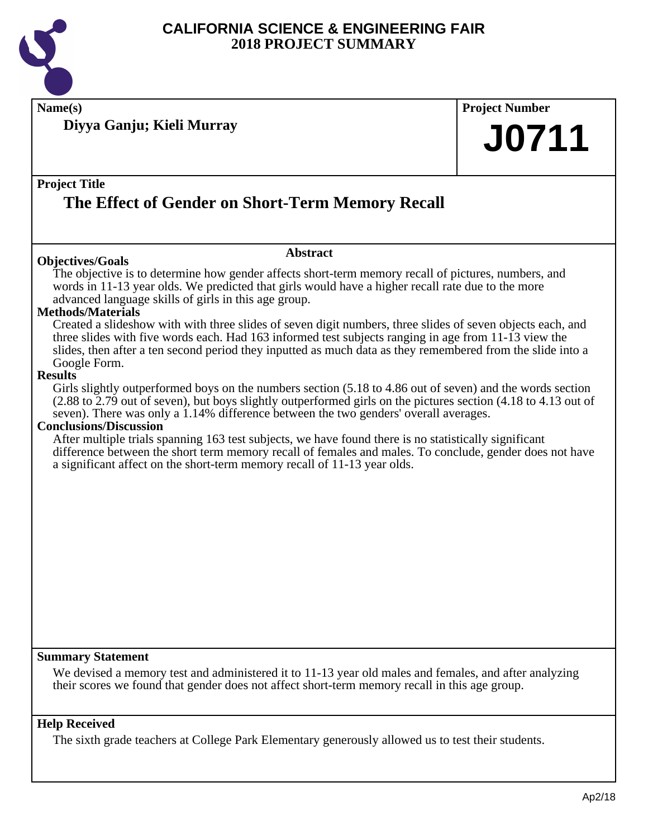

**Name(s) Project Number**

**Diyya Ganju; Kieli Murray**

#### **Project Title**

## **The Effect of Gender on Short-Term Memory Recall**

#### **Objectives/Goals**

#### **Abstract**

The objective is to determine how gender affects short-term memory recall of pictures, numbers, and words in 11-13 year olds. We predicted that girls would have a higher recall rate due to the more advanced language skills of girls in this age group.

#### **Methods/Materials**

Created a slideshow with with three slides of seven digit numbers, three slides of seven objects each, and three slides with five words each. Had 163 informed test subjects ranging in age from 11-13 view the slides, then after a ten second period they inputted as much data as they remembered from the slide into a Google Form.

#### **Results**

Girls slightly outperformed boys on the numbers section (5.18 to 4.86 out of seven) and the words section (2.88 to 2.79 out of seven), but boys slightly outperformed girls on the pictures section (4.18 to 4.13 out of seven). There was only a 1.14% difference between the two genders' overall averages.

#### **Conclusions/Discussion**

After multiple trials spanning 163 test subjects, we have found there is no statistically significant difference between the short term memory recall of females and males. To conclude, gender does not have a significant affect on the short-term memory recall of 11-13 year olds.

#### **Summary Statement**

We devised a memory test and administered it to 11-13 year old males and females, and after analyzing their scores we found that gender does not affect short-term memory recall in this age group.

#### **Help Received**

The sixth grade teachers at College Park Elementary generously allowed us to test their students.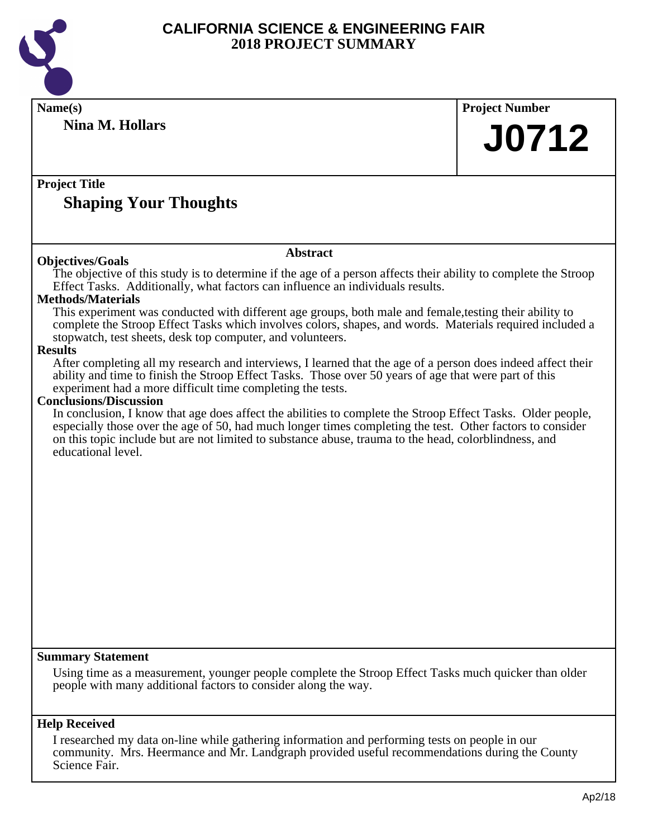

| Name(s)                                                                                                                                                                                                                  | <b>Project Number</b> |
|--------------------------------------------------------------------------------------------------------------------------------------------------------------------------------------------------------------------------|-----------------------|
| <b>Nina M. Hollars</b>                                                                                                                                                                                                   | <b>J0712</b>          |
|                                                                                                                                                                                                                          |                       |
| <b>Project Title</b>                                                                                                                                                                                                     |                       |
| <b>Shaping Your Thoughts</b>                                                                                                                                                                                             |                       |
|                                                                                                                                                                                                                          |                       |
| <b>Abstract</b><br><b>Objectives/Goals</b>                                                                                                                                                                               |                       |
| The objective of this study is to determine if the age of a person affects their ability to complete the Stroop<br>Effect Tasks. Additionally, what factors can influence an individuals results.                        |                       |
| <b>Methods/Materials</b>                                                                                                                                                                                                 |                       |
| This experiment was conducted with different age groups, both male and female, testing their ability to                                                                                                                  |                       |
| complete the Stroop Effect Tasks which involves colors, shapes, and words. Materials required included a<br>stopwatch, test sheets, desk top computer, and volunteers.                                                   |                       |
| <b>Results</b>                                                                                                                                                                                                           |                       |
| After completing all my research and interviews, I learned that the age of a person does indeed affect their<br>ability and time to finish the Stroop Effect Tasks. Those over 50 years of age that were part of this    |                       |
| experiment had a more difficult time completing the tests.                                                                                                                                                               |                       |
| <b>Conclusions/Discussion</b>                                                                                                                                                                                            |                       |
| In conclusion, I know that age does affect the abilities to complete the Stroop Effect Tasks. Older people,<br>especially those over the age of 50, had much longer times completing the test. Other factors to consider |                       |
| on this topic include but are not limited to substance abuse, trauma to the head, colorblindness, and                                                                                                                    |                       |
| educational level.                                                                                                                                                                                                       |                       |
|                                                                                                                                                                                                                          |                       |
|                                                                                                                                                                                                                          |                       |
|                                                                                                                                                                                                                          |                       |
|                                                                                                                                                                                                                          |                       |
|                                                                                                                                                                                                                          |                       |
|                                                                                                                                                                                                                          |                       |
|                                                                                                                                                                                                                          |                       |
|                                                                                                                                                                                                                          |                       |
|                                                                                                                                                                                                                          |                       |
|                                                                                                                                                                                                                          |                       |
|                                                                                                                                                                                                                          |                       |
|                                                                                                                                                                                                                          |                       |
| <b>Summary Statement</b>                                                                                                                                                                                                 |                       |
| Using time as a measurement, younger people complete the Stroop Effect Tasks much quicker than older                                                                                                                     |                       |
| people with many additional factors to consider along the way.                                                                                                                                                           |                       |
|                                                                                                                                                                                                                          |                       |
| <b>Help Received</b>                                                                                                                                                                                                     |                       |
| I researched my data on-line while gathering information and performing tests on people in our                                                                                                                           |                       |
| community. Mrs. Heermance and Mr. Landgraph provided useful recommendations during the County<br>Science Fair.                                                                                                           |                       |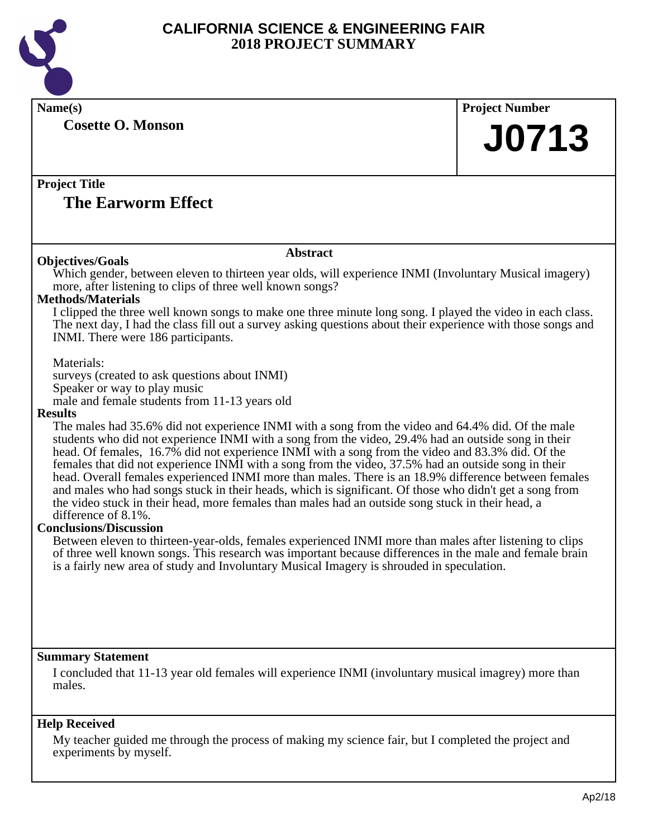

**Name(s) Project Number Cosette O. Monson**

# **J0713**

#### **Project Title The Earworm Effect**

#### **Objectives/Goals**

#### **Abstract**

Which gender, between eleven to thirteen year olds, will experience INMI (Involuntary Musical imagery) more, after listening to clips of three well known songs?

#### **Methods/Materials**

I clipped the three well known songs to make one three minute long song. I played the video in each class. The next day, I had the class fill out a survey asking questions about their experience with those songs and INMI. There were 186 participants.

Materials:

surveys (created to ask questions about INMI) Speaker or way to play music male and female students from 11-13 years old

#### **Results**

The males had 35.6% did not experience INMI with a song from the video and 64.4% did. Of the male students who did not experience INMI with a song from the video, 29.4% had an outside song in their head. Of females, 16.7% did not experience INMI with a song from the video and 83.3% did. Of the females that did not experience INMI with a song from the video, 37.5% had an outside song in their head. Overall females experienced INMI more than males. There is an 18.9% difference between females and males who had songs stuck in their heads, which is significant. Of those who didn't get a song from the video stuck in their head, more females than males had an outside song stuck in their head, a difference of 8.1%.

#### **Conclusions/Discussion**

Between eleven to thirteen-year-olds, females experienced INMI more than males after listening to clips of three well known songs. This research was important because differences in the male and female brain is a fairly new area of study and Involuntary Musical Imagery is shrouded in speculation.

#### **Summary Statement**

I concluded that 11-13 year old females will experience INMI (involuntary musical imagrey) more than males.

#### **Help Received**

My teacher guided me through the process of making my science fair, but I completed the project and experiments by myself.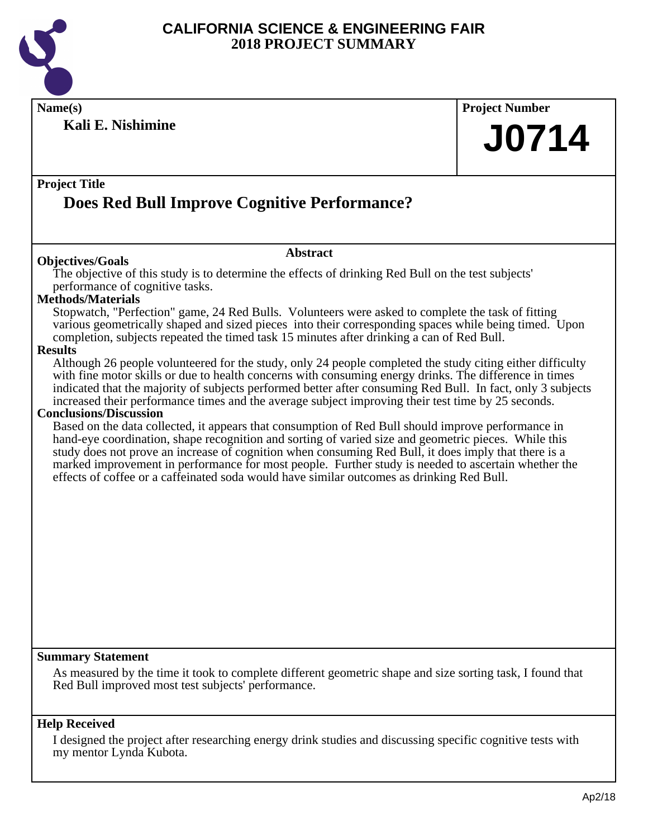

**Name(s) Project Number**

**Kali E. Nishimine**

#### **Project Title**

## **Does Red Bull Improve Cognitive Performance?**

#### **Objectives/Goals**

The objective of this study is to determine the effects of drinking Red Bull on the test subjects' performance of cognitive tasks.

**Abstract**

#### **Methods/Materials**

Stopwatch, "Perfection" game, 24 Red Bulls. Volunteers were asked to complete the task of fitting various geometrically shaped and sized pieces into their corresponding spaces while being timed. Upon completion, subjects repeated the timed task 15 minutes after drinking a can of Red Bull.

#### **Results**

Although 26 people volunteered for the study, only 24 people completed the study citing either difficulty with fine motor skills or due to health concerns with consuming energy drinks. The difference in times indicated that the majority of subjects performed better after consuming Red Bull. In fact, only 3 subjects increased their performance times and the average subject improving their test time by 25 seconds.

#### **Conclusions/Discussion**

Based on the data collected, it appears that consumption of Red Bull should improve performance in hand-eye coordination, shape recognition and sorting of varied size and geometric pieces. While this study does not prove an increase of cognition when consuming Red Bull, it does imply that there is a marked improvement in performance for most people. Further study is needed to ascertain whether the effects of coffee or a caffeinated soda would have similar outcomes as drinking Red Bull.

#### **Summary Statement**

As measured by the time it took to complete different geometric shape and size sorting task, I found that Red Bull improved most test subjects' performance.

#### **Help Received**

I designed the project after researching energy drink studies and discussing specific cognitive tests with my mentor Lynda Kubota.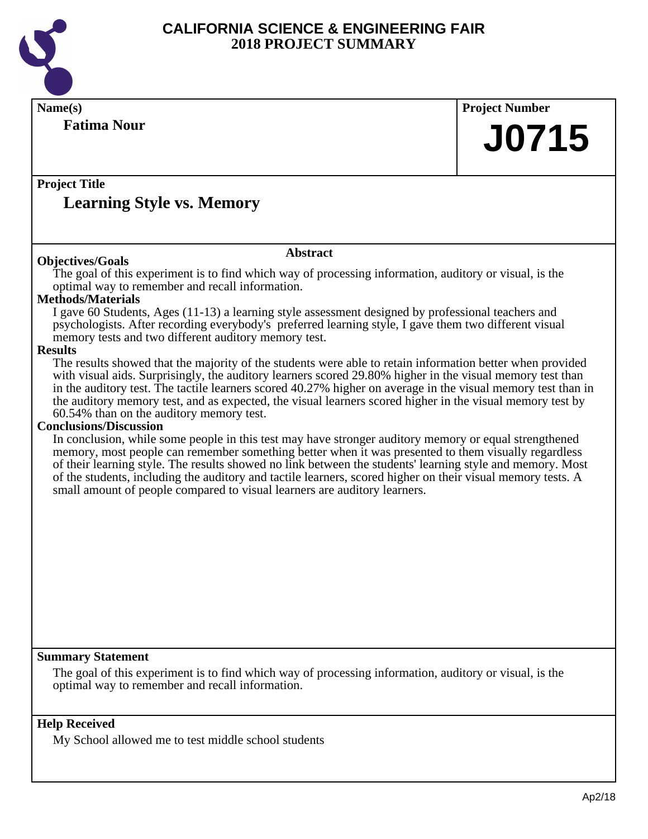

| Name(s)                                                                                                                                                                                                                                                                                                                                                                                                                                                                                                                          |                 | <b>Project Number</b> |
|----------------------------------------------------------------------------------------------------------------------------------------------------------------------------------------------------------------------------------------------------------------------------------------------------------------------------------------------------------------------------------------------------------------------------------------------------------------------------------------------------------------------------------|-----------------|-----------------------|
| <b>Fatima Nour</b>                                                                                                                                                                                                                                                                                                                                                                                                                                                                                                               |                 | <b>J0715</b>          |
|                                                                                                                                                                                                                                                                                                                                                                                                                                                                                                                                  |                 |                       |
| <b>Project Title</b>                                                                                                                                                                                                                                                                                                                                                                                                                                                                                                             |                 |                       |
| <b>Learning Style vs. Memory</b>                                                                                                                                                                                                                                                                                                                                                                                                                                                                                                 |                 |                       |
|                                                                                                                                                                                                                                                                                                                                                                                                                                                                                                                                  | <b>Abstract</b> |                       |
| <b>Objectives/Goals</b><br>The goal of this experiment is to find which way of processing information, auditory or visual, is the<br>optimal way to remember and recall information.                                                                                                                                                                                                                                                                                                                                             |                 |                       |
| <b>Methods/Materials</b>                                                                                                                                                                                                                                                                                                                                                                                                                                                                                                         |                 |                       |
| I gave 60 Students, Ages (11-13) a learning style assessment designed by professional teachers and<br>psychologists. After recording everybody's preferred learning style, I gave them two different visual<br>memory tests and two different auditory memory test.                                                                                                                                                                                                                                                              |                 |                       |
| <b>Results</b>                                                                                                                                                                                                                                                                                                                                                                                                                                                                                                                   |                 |                       |
| The results showed that the majority of the students were able to retain information better when provided<br>with visual aids. Surprisingly, the auditory learners scored 29.80% higher in the visual memory test than<br>in the auditory test. The tactile learners scored 40.27% higher on average in the visual memory test than in<br>the auditory memory test, and as expected, the visual learners scored higher in the visual memory test by<br>60.54% than on the auditory memory test.<br><b>Conclusions/Discussion</b> |                 |                       |
| In conclusion, while some people in this test may have stronger auditory memory or equal strengthened<br>memory, most people can remember something better when it was presented to them visually regardless<br>of their learning style. The results showed no link between the students' learning style and memory. Most<br>of the students, including the auditory and tactile learners, scored higher on their visual memory tests. A<br>small amount of people compared to visual learners are auditory learners.            |                 |                       |
|                                                                                                                                                                                                                                                                                                                                                                                                                                                                                                                                  |                 |                       |
|                                                                                                                                                                                                                                                                                                                                                                                                                                                                                                                                  |                 |                       |
|                                                                                                                                                                                                                                                                                                                                                                                                                                                                                                                                  |                 |                       |
|                                                                                                                                                                                                                                                                                                                                                                                                                                                                                                                                  |                 |                       |
|                                                                                                                                                                                                                                                                                                                                                                                                                                                                                                                                  |                 |                       |
| <b>Summary Statement</b>                                                                                                                                                                                                                                                                                                                                                                                                                                                                                                         |                 |                       |
| The goal of this experiment is to find which way of processing information, auditory or visual, is the<br>optimal way to remember and recall information.                                                                                                                                                                                                                                                                                                                                                                        |                 |                       |
| <b>Help Received</b>                                                                                                                                                                                                                                                                                                                                                                                                                                                                                                             |                 |                       |
| My School allowed me to test middle school students                                                                                                                                                                                                                                                                                                                                                                                                                                                                              |                 |                       |
|                                                                                                                                                                                                                                                                                                                                                                                                                                                                                                                                  |                 |                       |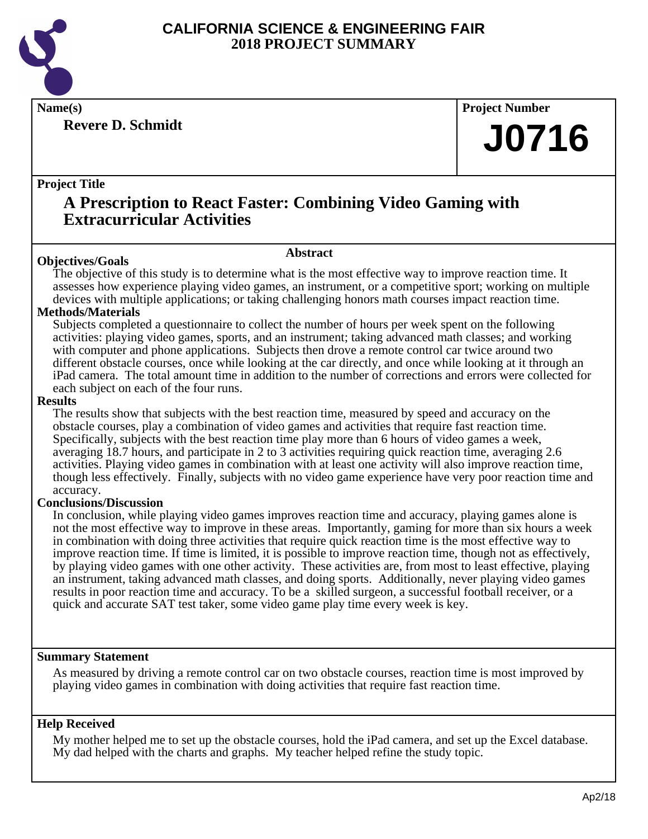

**Revere D. Schmidt**

**Name(s) Project Number**

## **J0716**

#### **Project Title**

## **A Prescription to React Faster: Combining Video Gaming with Extracurricular Activities**

#### **Abstract**

**Objectives/Goals** The objective of this study is to determine what is the most effective way to improve reaction time. It assesses how experience playing video games, an instrument, or a competitive sport; working on multiple devices with multiple applications; or taking challenging honors math courses impact reaction time.

#### **Methods/Materials**

Subjects completed a questionnaire to collect the number of hours per week spent on the following activities: playing video games, sports, and an instrument; taking advanced math classes; and working with computer and phone applications. Subjects then drove a remote control car twice around two different obstacle courses, once while looking at the car directly, and once while looking at it through an iPad camera. The total amount time in addition to the number of corrections and errors were collected for each subject on each of the four runs.

#### **Results**

The results show that subjects with the best reaction time, measured by speed and accuracy on the obstacle courses, play a combination of video games and activities that require fast reaction time. Specifically, subjects with the best reaction time play more than 6 hours of video games a week, averaging 18.7 hours, and participate in 2 to 3 activities requiring quick reaction time, averaging 2.6 activities. Playing video games in combination with at least one activity will also improve reaction time, though less effectively. Finally, subjects with no video game experience have very poor reaction time and accuracy.

#### **Conclusions/Discussion**

In conclusion, while playing video games improves reaction time and accuracy, playing games alone is not the most effective way to improve in these areas. Importantly, gaming for more than six hours a week in combination with doing three activities that require quick reaction time is the most effective way to improve reaction time. If time is limited, it is possible to improve reaction time, though not as effectively, by playing video games with one other activity. These activities are, from most to least effective, playing an instrument, taking advanced math classes, and doing sports. Additionally, never playing video games results in poor reaction time and accuracy. To be a skilled surgeon, a successful football receiver, or a quick and accurate SAT test taker, some video game play time every week is key.

#### **Summary Statement**

As measured by driving a remote control car on two obstacle courses, reaction time is most improved by playing video games in combination with doing activities that require fast reaction time.

#### **Help Received**

My mother helped me to set up the obstacle courses, hold the iPad camera, and set up the Excel database. My dad helped with the charts and graphs. My teacher helped refine the study topic.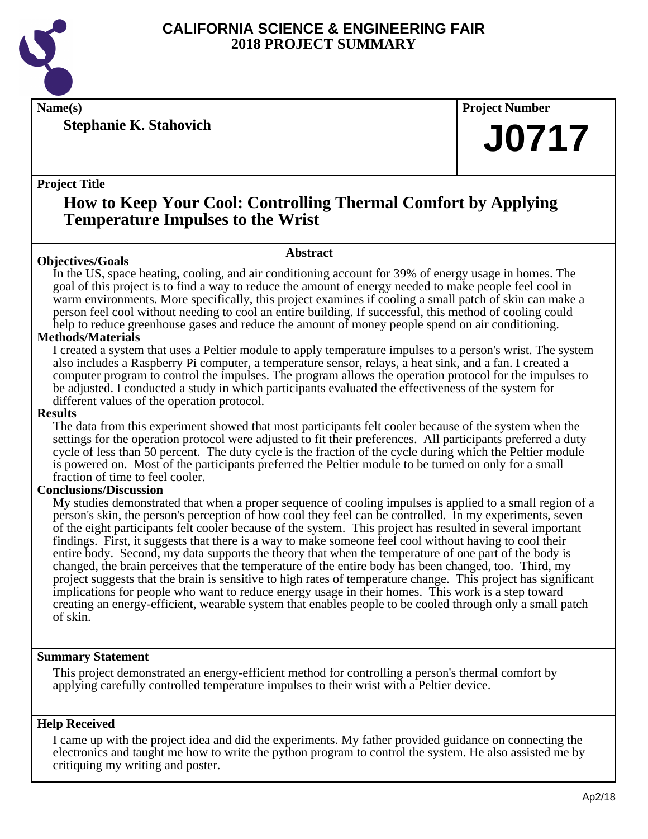

**Stephanie K. Stahovich**

**Name(s) Project Number**

## **J0717**

#### **Project Title**

### **How to Keep Your Cool: Controlling Thermal Comfort by Applying Temperature Impulses to the Wrist**

#### **Abstract**

**Objectives/Goals** In the US, space heating, cooling, and air conditioning account for 39% of energy usage in homes. The goal of this project is to find a way to reduce the amount of energy needed to make people feel cool in warm environments. More specifically, this project examines if cooling a small patch of skin can make a person feel cool without needing to cool an entire building. If successful, this method of cooling could help to reduce greenhouse gases and reduce the amount of money people spend on air conditioning.

#### **Methods/Materials**

I created a system that uses a Peltier module to apply temperature impulses to a person's wrist. The system also includes a Raspberry Pi computer, a temperature sensor, relays, a heat sink, and a fan. I created a computer program to control the impulses. The program allows the operation protocol for the impulses to be adjusted. I conducted a study in which participants evaluated the effectiveness of the system for different values of the operation protocol.

#### **Results**

The data from this experiment showed that most participants felt cooler because of the system when the settings for the operation protocol were adjusted to fit their preferences. All participants preferred a duty cycle of less than 50 percent. The duty cycle is the fraction of the cycle during which the Peltier module is powered on. Most of the participants preferred the Peltier module to be turned on only for a small fraction of time to feel cooler.

#### **Conclusions/Discussion**

My studies demonstrated that when a proper sequence of cooling impulses is applied to a small region of a person's skin, the person's perception of how cool they feel can be controlled. In my experiments, seven of the eight participants felt cooler because of the system. This project has resulted in several important findings. First, it suggests that there is a way to make someone feel cool without having to cool their entire body. Second, my data supports the theory that when the temperature of one part of the body is changed, the brain perceives that the temperature of the entire body has been changed, too. Third, my project suggests that the brain is sensitive to high rates of temperature change. This project has significant implications for people who want to reduce energy usage in their homes. This work is a step toward creating an energy-efficient, wearable system that enables people to be cooled through only a small patch of skin.

#### **Summary Statement**

This project demonstrated an energy-efficient method for controlling a person's thermal comfort by applying carefully controlled temperature impulses to their wrist with a Peltier device.

#### **Help Received**

I came up with the project idea and did the experiments. My father provided guidance on connecting the electronics and taught me how to write the python program to control the system. He also assisted me by critiquing my writing and poster.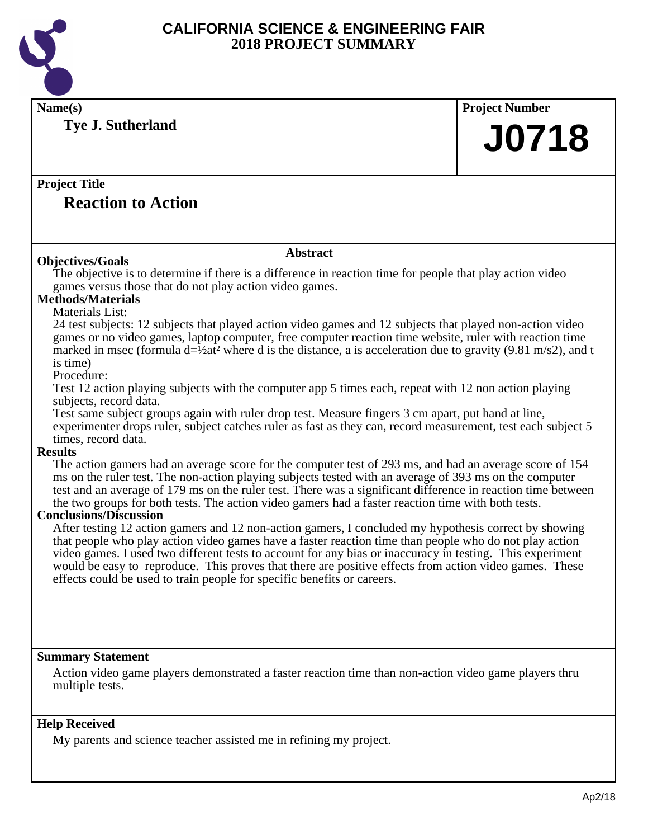

| Name(s)                                                                                                                                                                                                              | <b>Project Number</b> |  |  |
|----------------------------------------------------------------------------------------------------------------------------------------------------------------------------------------------------------------------|-----------------------|--|--|
| Tye J. Sutherland                                                                                                                                                                                                    |                       |  |  |
|                                                                                                                                                                                                                      | <b>J0718</b>          |  |  |
|                                                                                                                                                                                                                      |                       |  |  |
|                                                                                                                                                                                                                      |                       |  |  |
| <b>Project Title</b>                                                                                                                                                                                                 |                       |  |  |
| <b>Reaction to Action</b>                                                                                                                                                                                            |                       |  |  |
|                                                                                                                                                                                                                      |                       |  |  |
|                                                                                                                                                                                                                      |                       |  |  |
| <b>Abstract</b><br><b>Objectives/Goals</b>                                                                                                                                                                           |                       |  |  |
| The objective is to determine if there is a difference in reaction time for people that play action video                                                                                                            |                       |  |  |
| games versus those that do not play action video games.                                                                                                                                                              |                       |  |  |
| <b>Methods/Materials</b>                                                                                                                                                                                             |                       |  |  |
| Materials List:                                                                                                                                                                                                      |                       |  |  |
| 24 test subjects: 12 subjects that played action video games and 12 subjects that played non-action video<br>games or no video games, laptop computer, free computer reaction time website, ruler with reaction time |                       |  |  |
| marked in msec (formula $d=1/2$ at <sup>2</sup> where d is the distance, a is acceleration due to gravity (9.81 m/s2), and t                                                                                         |                       |  |  |
| is time)                                                                                                                                                                                                             |                       |  |  |
| Procedure:                                                                                                                                                                                                           |                       |  |  |
| Test 12 action playing subjects with the computer app 5 times each, repeat with 12 non action playing                                                                                                                |                       |  |  |
| subjects, record data.                                                                                                                                                                                               |                       |  |  |
| Test same subject groups again with ruler drop test. Measure fingers 3 cm apart, put hand at line,<br>experimenter drops ruler, subject catches ruler as fast as they can, record measurement, test each subject 5   |                       |  |  |
| times, record data.                                                                                                                                                                                                  |                       |  |  |
| <b>Results</b>                                                                                                                                                                                                       |                       |  |  |
| The action gamers had an average score for the computer test of 293 ms, and had an average score of 154                                                                                                              |                       |  |  |
| ms on the ruler test. The non-action playing subjects tested with an average of 393 ms on the computer                                                                                                               |                       |  |  |
| test and an average of 179 ms on the ruler test. There was a significant difference in reaction time between                                                                                                         |                       |  |  |
| the two groups for both tests. The action video gamers had a faster reaction time with both tests.<br><b>Conclusions/Discussion</b>                                                                                  |                       |  |  |
| After testing 12 action gamers and 12 non-action gamers, I concluded my hypothesis correct by showing                                                                                                                |                       |  |  |
| that people who play action video games have a faster reaction time than people who do not play action                                                                                                               |                       |  |  |
| video games. I used two different tests to account for any bias or inaccuracy in testing. This experiment                                                                                                            |                       |  |  |
| would be easy to reproduce. This proves that there are positive effects from action video games. These                                                                                                               |                       |  |  |
| effects could be used to train people for specific benefits or careers.                                                                                                                                              |                       |  |  |
|                                                                                                                                                                                                                      |                       |  |  |
|                                                                                                                                                                                                                      |                       |  |  |
|                                                                                                                                                                                                                      |                       |  |  |
|                                                                                                                                                                                                                      |                       |  |  |
| <b>Summary Statement</b>                                                                                                                                                                                             |                       |  |  |
| Action video game players demonstrated a faster reaction time than non-action video game players thru                                                                                                                |                       |  |  |
| multiple tests.                                                                                                                                                                                                      |                       |  |  |
|                                                                                                                                                                                                                      |                       |  |  |
| <b>Help Received</b>                                                                                                                                                                                                 |                       |  |  |
| My parents and science teacher assisted me in refining my project.                                                                                                                                                   |                       |  |  |